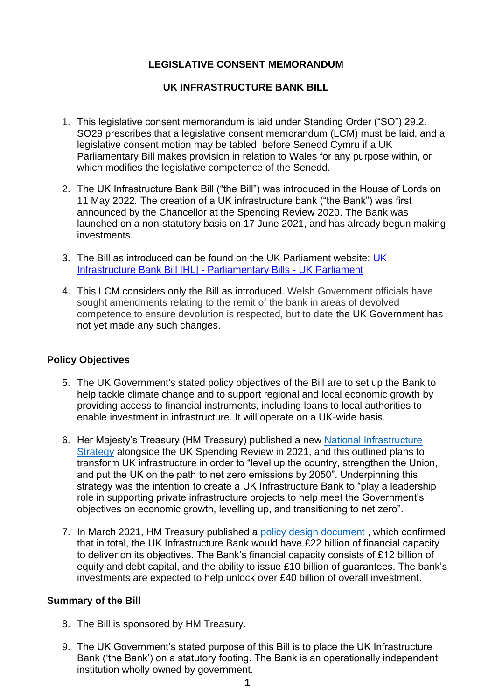# **LEGISLATIVE CONSENT MEMORANDUM**

## **UK INFRASTRUCTURE BANK BILL**

- 1. This legislative consent memorandum is laid under Standing Order ("SO") 29.2. SO29 prescribes that a legislative consent memorandum (LCM) must be laid, and a legislative consent motion may be tabled, before Senedd Cymru if a UK Parliamentary Bill makes provision in relation to Wales for any purpose within, or which modifies the legislative competence of the Senedd.
- 2. The UK Infrastructure Bank Bill ("the Bill") was introduced in the House of Lords on 11 May 2022*.* The creation of a UK infrastructure bank ("the Bank") was first announced by the Chancellor at the Spending Review 2020. The Bank was launched on a non-statutory basis on 17 June 2021, and has already begun making investments.
- 3. The Bill as introduced can be found on the UK Parliament website: [UK](https://bills.parliament.uk/bills/3158)  [Infrastructure Bank Bill \[HL\] -](https://bills.parliament.uk/bills/3158) Parliamentary Bills - UK Parliament
- 4. This LCM considers only the Bill as introduced. Welsh Government officials have sought amendments relating to the remit of the bank in areas of devolved competence to ensure devolution is respected, but to date the UK Government has not yet made any such changes.

## **Policy Objectives**

- 5. The UK Government's stated policy objectives of the Bill are to set up the Bank to help tackle climate change and to support regional and local economic growth by providing access to financial instruments, including loans to local authorities to enable investment in infrastructure. It will operate on a UK-wide basis.
- 6. Her Majesty's Treasury (HM Treasury) published a new [National Infrastructure](https://assets.publishing.service.gov.uk/government/uploads/system/uploads/attachment_data/file/938539/NIS_Report_Web_Accessible.pdf)  [Strategy](https://assets.publishing.service.gov.uk/government/uploads/system/uploads/attachment_data/file/938539/NIS_Report_Web_Accessible.pdf) alongside the UK Spending Review in 2021, and this outlined plans to transform UK infrastructure in order to "level up the country, strengthen the Union, and put the UK on the path to net zero emissions by 2050". Underpinning this strategy was the intention to create a UK Infrastructure Bank to "play a leadership role in supporting private infrastructure projects to help meet the Government's objectives on economic growth, levelling up, and transitioning to net zero".
- 7. In March 2021, HM Treasury published a [policy design document](https://assets.publishing.service.gov.uk/government/uploads/system/uploads/attachment_data/file/966131/UKIB_Policy_Design.pdf) , which confirmed that in total, the UK Infrastructure Bank would have £22 billion of financial capacity to deliver on its objectives. The Bank's financial capacity consists of £12 billion of equity and debt capital, and the ability to issue £10 billion of guarantees. The bank's investments are expected to help unlock over £40 billion of overall investment.

## **Summary of the Bill**

- 8. The Bill is sponsored by HM Treasury.
- 9. The UK Government's stated purpose of this Bill is to place the UK Infrastructure Bank ('the Bank') on a statutory footing. The Bank is an operationally independent institution wholly owned by government.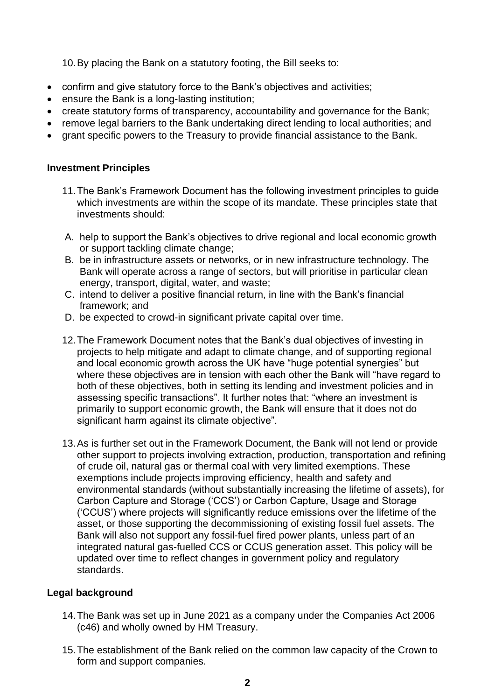10.By placing the Bank on a statutory footing, the Bill seeks to:

- confirm and give statutory force to the Bank's objectives and activities;
- ensure the Bank is a long-lasting institution;
- create statutory forms of transparency, accountability and governance for the Bank;
- remove legal barriers to the Bank undertaking direct lending to local authorities; and
- grant specific powers to the Treasury to provide financial assistance to the Bank.

## **Investment Principles**

- 11.The Bank's Framework Document has the following investment principles to guide which investments are within the scope of its mandate. These principles state that investments should:
- A. help to support the Bank's objectives to drive regional and local economic growth or support tackling climate change;
- B. be in infrastructure assets or networks, or in new infrastructure technology. The Bank will operate across a range of sectors, but will prioritise in particular clean energy, transport, digital, water, and waste;
- C. intend to deliver a positive financial return, in line with the Bank's financial framework; and
- D. be expected to crowd-in significant private capital over time.
- 12.The Framework Document notes that the Bank's dual objectives of investing in projects to help mitigate and adapt to climate change, and of supporting regional and local economic growth across the UK have "huge potential synergies" but where these objectives are in tension with each other the Bank will "have regard to both of these objectives, both in setting its lending and investment policies and in assessing specific transactions". It further notes that: "where an investment is primarily to support economic growth, the Bank will ensure that it does not do significant harm against its climate objective".
- 13.As is further set out in the Framework Document, the Bank will not lend or provide other support to projects involving extraction, production, transportation and refining of crude oil, natural gas or thermal coal with very limited exemptions. These exemptions include projects improving efficiency, health and safety and environmental standards (without substantially increasing the lifetime of assets), for Carbon Capture and Storage ('CCS') or Carbon Capture, Usage and Storage ('CCUS') where projects will significantly reduce emissions over the lifetime of the asset, or those supporting the decommissioning of existing fossil fuel assets. The Bank will also not support any fossil-fuel fired power plants, unless part of an integrated natural gas-fuelled CCS or CCUS generation asset. This policy will be updated over time to reflect changes in government policy and regulatory standards.

# **Legal background**

- 14.The Bank was set up in June 2021 as a company under the Companies Act 2006 (c46) and wholly owned by HM Treasury.
- 15.The establishment of the Bank relied on the common law capacity of the Crown to form and support companies.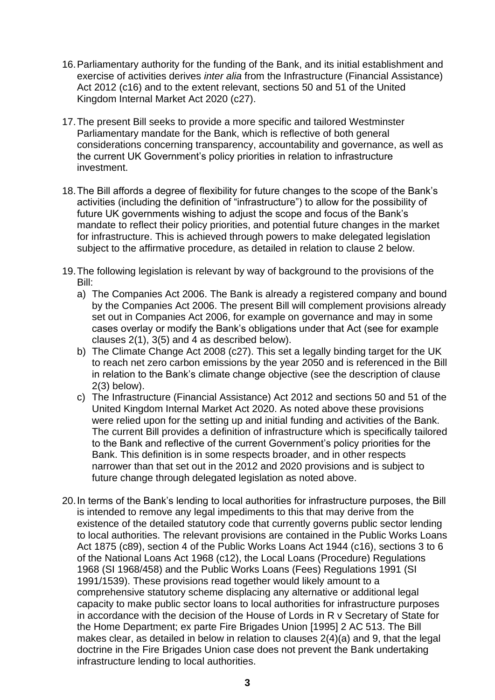- 16.Parliamentary authority for the funding of the Bank, and its initial establishment and exercise of activities derives *inter alia* from the Infrastructure (Financial Assistance) Act 2012 (c16) and to the extent relevant, sections 50 and 51 of the United Kingdom Internal Market Act 2020 (c27).
- 17.The present Bill seeks to provide a more specific and tailored Westminster Parliamentary mandate for the Bank, which is reflective of both general considerations concerning transparency, accountability and governance, as well as the current UK Government's policy priorities in relation to infrastructure investment.
- 18.The Bill affords a degree of flexibility for future changes to the scope of the Bank's activities (including the definition of "infrastructure") to allow for the possibility of future UK governments wishing to adjust the scope and focus of the Bank's mandate to reflect their policy priorities, and potential future changes in the market for infrastructure. This is achieved through powers to make delegated legislation subject to the affirmative procedure, as detailed in relation to clause 2 below.
- 19.The following legislation is relevant by way of background to the provisions of the Bill:
	- a) The Companies Act 2006. The Bank is already a registered company and bound by the Companies Act 2006. The present Bill will complement provisions already set out in Companies Act 2006, for example on governance and may in some cases overlay or modify the Bank's obligations under that Act (see for example clauses 2(1), 3(5) and 4 as described below).
	- b) The Climate Change Act 2008 (c27). This set a legally binding target for the UK to reach net zero carbon emissions by the year 2050 and is referenced in the Bill in relation to the Bank's climate change objective (see the description of clause 2(3) below).
	- c) The Infrastructure (Financial Assistance) Act 2012 and sections 50 and 51 of the United Kingdom Internal Market Act 2020. As noted above these provisions were relied upon for the setting up and initial funding and activities of the Bank. The current Bill provides a definition of infrastructure which is specifically tailored to the Bank and reflective of the current Government's policy priorities for the Bank. This definition is in some respects broader, and in other respects narrower than that set out in the 2012 and 2020 provisions and is subject to future change through delegated legislation as noted above.
- 20.In terms of the Bank's lending to local authorities for infrastructure purposes, the Bill is intended to remove any legal impediments to this that may derive from the existence of the detailed statutory code that currently governs public sector lending to local authorities. The relevant provisions are contained in the Public Works Loans Act 1875 (c89), section 4 of the Public Works Loans Act 1944 (c16), sections 3 to 6 of the National Loans Act 1968 (c12), the Local Loans (Procedure) Regulations 1968 (SI 1968/458) and the Public Works Loans (Fees) Regulations 1991 (SI 1991/1539). These provisions read together would likely amount to a comprehensive statutory scheme displacing any alternative or additional legal capacity to make public sector loans to local authorities for infrastructure purposes in accordance with the decision of the House of Lords in R v Secretary of State for the Home Department; ex parte Fire Brigades Union [1995] 2 AC 513. The Bill makes clear, as detailed in below in relation to clauses 2(4)(a) and 9, that the legal doctrine in the Fire Brigades Union case does not prevent the Bank undertaking infrastructure lending to local authorities.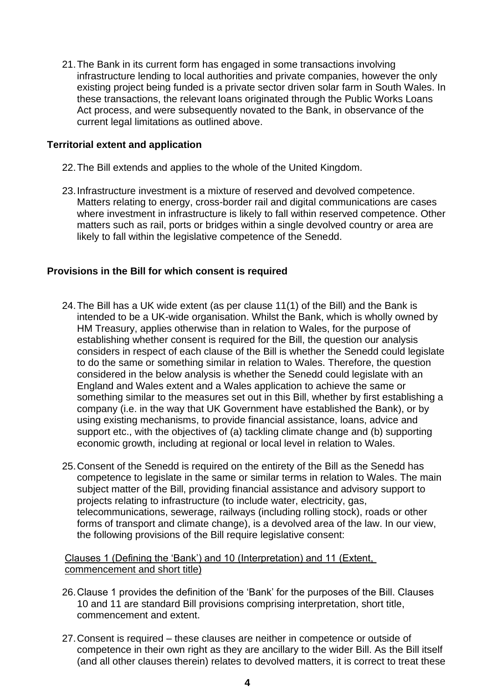21.The Bank in its current form has engaged in some transactions involving infrastructure lending to local authorities and private companies, however the only existing project being funded is a private sector driven solar farm in South Wales. In these transactions, the relevant loans originated through the Public Works Loans Act process, and were subsequently novated to the Bank, in observance of the current legal limitations as outlined above.

## **Territorial extent and application**

- 22.The Bill extends and applies to the whole of the United Kingdom.
- 23.Infrastructure investment is a mixture of reserved and devolved competence. Matters relating to energy, cross-border rail and digital communications are cases where investment in infrastructure is likely to fall within reserved competence. Other matters such as rail, ports or bridges within a single devolved country or area are likely to fall within the legislative competence of the Senedd.

### **Provisions in the Bill for which consent is required**

- 24.The Bill has a UK wide extent (as per clause 11(1) of the Bill) and the Bank is intended to be a UK-wide organisation. Whilst the Bank, which is wholly owned by HM Treasury, applies otherwise than in relation to Wales, for the purpose of establishing whether consent is required for the Bill, the question our analysis considers in respect of each clause of the Bill is whether the Senedd could legislate to do the same or something similar in relation to Wales. Therefore, the question considered in the below analysis is whether the Senedd could legislate with an England and Wales extent and a Wales application to achieve the same or something similar to the measures set out in this Bill, whether by first establishing a company (i.e. in the way that UK Government have established the Bank), or by using existing mechanisms, to provide financial assistance, loans, advice and support etc., with the objectives of (a) tackling climate change and (b) supporting economic growth, including at regional or local level in relation to Wales.
- 25.Consent of the Senedd is required on the entirety of the Bill as the Senedd has competence to legislate in the same or similar terms in relation to Wales. The main subject matter of the Bill, providing financial assistance and advisory support to projects relating to infrastructure (to include water, electricity, gas, telecommunications, sewerage, railways (including rolling stock), roads or other forms of transport and climate change), is a devolved area of the law. In our view, the following provisions of the Bill require legislative consent:

Clauses 1 (Defining the 'Bank') and 10 (Interpretation) and 11 (Extent, commencement and short title)

- 26.Clause 1 provides the definition of the 'Bank' for the purposes of the Bill. Clauses 10 and 11 are standard Bill provisions comprising interpretation, short title, commencement and extent.
- 27.Consent is required these clauses are neither in competence or outside of competence in their own right as they are ancillary to the wider Bill. As the Bill itself (and all other clauses therein) relates to devolved matters, it is correct to treat these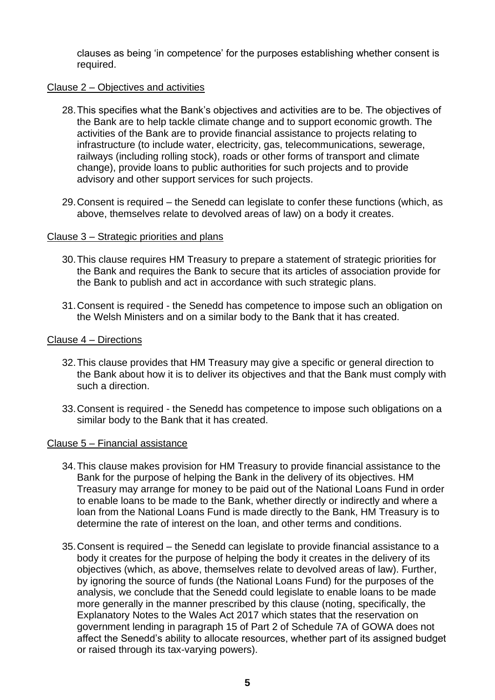clauses as being 'in competence' for the purposes establishing whether consent is required.

#### Clause 2 – Objectives and activities

- 28.This specifies what the Bank's objectives and activities are to be. The objectives of the Bank are to help tackle climate change and to support economic growth. The activities of the Bank are to provide financial assistance to projects relating to infrastructure (to include water, electricity, gas, telecommunications, sewerage, railways (including rolling stock), roads or other forms of transport and climate change), provide loans to public authorities for such projects and to provide advisory and other support services for such projects.
- 29.Consent is required the Senedd can legislate to confer these functions (which, as above, themselves relate to devolved areas of law) on a body it creates.

### Clause 3 – Strategic priorities and plans

- 30.This clause requires HM Treasury to prepare a statement of strategic priorities for the Bank and requires the Bank to secure that its articles of association provide for the Bank to publish and act in accordance with such strategic plans.
- 31.Consent is required the Senedd has competence to impose such an obligation on the Welsh Ministers and on a similar body to the Bank that it has created.

#### Clause 4 – Directions

- 32.This clause provides that HM Treasury may give a specific or general direction to the Bank about how it is to deliver its objectives and that the Bank must comply with such a direction.
- 33.Consent is required the Senedd has competence to impose such obligations on a similar body to the Bank that it has created.

#### Clause 5 – Financial assistance

- 34.This clause makes provision for HM Treasury to provide financial assistance to the Bank for the purpose of helping the Bank in the delivery of its objectives. HM Treasury may arrange for money to be paid out of the National Loans Fund in order to enable loans to be made to the Bank, whether directly or indirectly and where a loan from the National Loans Fund is made directly to the Bank, HM Treasury is to determine the rate of interest on the loan, and other terms and conditions.
- 35.Consent is required the Senedd can legislate to provide financial assistance to a body it creates for the purpose of helping the body it creates in the delivery of its objectives (which, as above, themselves relate to devolved areas of law). Further, by ignoring the source of funds (the National Loans Fund) for the purposes of the analysis, we conclude that the Senedd could legislate to enable loans to be made more generally in the manner prescribed by this clause (noting, specifically, the Explanatory Notes to the Wales Act 2017 which states that the reservation on government lending in paragraph 15 of Part 2 of Schedule 7A of GOWA does not affect the Senedd's ability to allocate resources, whether part of its assigned budget or raised through its tax-varying powers).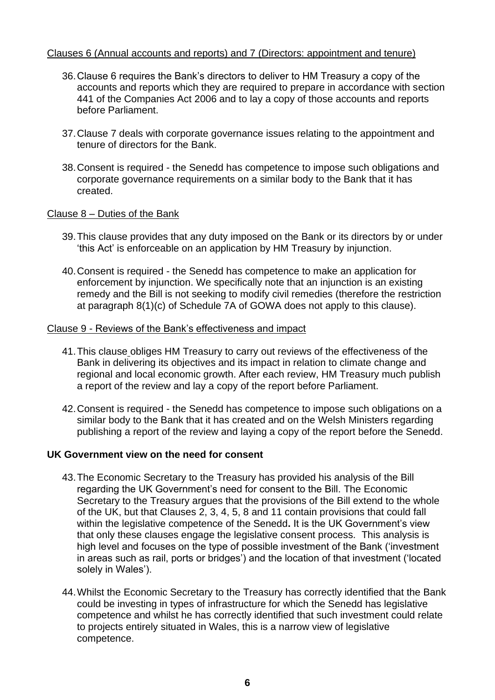## Clauses 6 (Annual accounts and reports) and 7 (Directors: appointment and tenure)

- 36.Clause 6 requires the Bank's directors to deliver to HM Treasury a copy of the accounts and reports which they are required to prepare in accordance with section 441 of the Companies Act 2006 and to lay a copy of those accounts and reports before Parliament.
- 37.Clause 7 deals with corporate governance issues relating to the appointment and tenure of directors for the Bank.
- 38.Consent is required the Senedd has competence to impose such obligations and corporate governance requirements on a similar body to the Bank that it has created.

### Clause 8 – Duties of the Bank

- 39.This clause provides that any duty imposed on the Bank or its directors by or under 'this Act' is enforceable on an application by HM Treasury by injunction.
- 40.Consent is required the Senedd has competence to make an application for enforcement by injunction. We specifically note that an injunction is an existing remedy and the Bill is not seeking to modify civil remedies (therefore the restriction at paragraph 8(1)(c) of Schedule 7A of GOWA does not apply to this clause).

#### Clause 9 - Reviews of the Bank's effectiveness and impact

- 41.This clause obliges HM Treasury to carry out reviews of the effectiveness of the Bank in delivering its objectives and its impact in relation to climate change and regional and local economic growth. After each review, HM Treasury much publish a report of the review and lay a copy of the report before Parliament.
- 42.Consent is required the Senedd has competence to impose such obligations on a similar body to the Bank that it has created and on the Welsh Ministers regarding publishing a report of the review and laying a copy of the report before the Senedd.

## **UK Government view on the need for consent**

- 43.The Economic Secretary to the Treasury has provided his analysis of the Bill regarding the UK Government's need for consent to the Bill. The Economic Secretary to the Treasury argues that the provisions of the Bill extend to the whole of the UK, but that Clauses 2, 3, 4, 5, 8 and 11 contain provisions that could fall within the legislative competence of the Senedd**.** It is the UK Government's view that only these clauses engage the legislative consent process. This analysis is high level and focuses on the type of possible investment of the Bank ('investment in areas such as rail, ports or bridges') and the location of that investment ('located solely in Wales').
- 44.Whilst the Economic Secretary to the Treasury has correctly identified that the Bank could be investing in types of infrastructure for which the Senedd has legislative competence and whilst he has correctly identified that such investment could relate to projects entirely situated in Wales, this is a narrow view of legislative competence.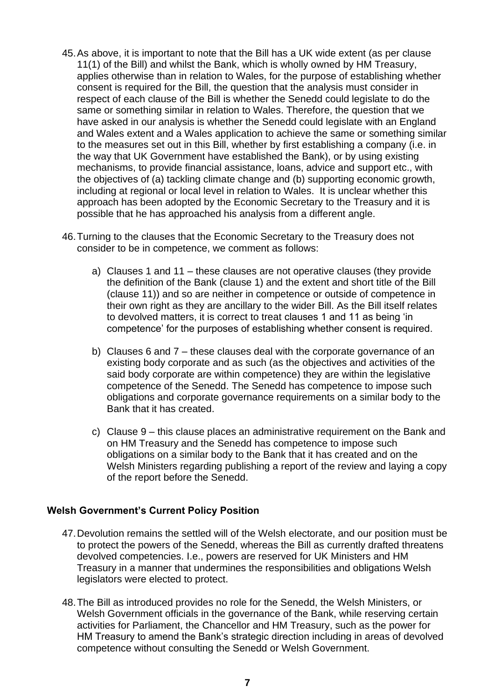- 45.As above, it is important to note that the Bill has a UK wide extent (as per clause 11(1) of the Bill) and whilst the Bank, which is wholly owned by HM Treasury, applies otherwise than in relation to Wales, for the purpose of establishing whether consent is required for the Bill, the question that the analysis must consider in respect of each clause of the Bill is whether the Senedd could legislate to do the same or something similar in relation to Wales. Therefore, the question that we have asked in our analysis is whether the Senedd could legislate with an England and Wales extent and a Wales application to achieve the same or something similar to the measures set out in this Bill, whether by first establishing a company (i.e. in the way that UK Government have established the Bank), or by using existing mechanisms, to provide financial assistance, loans, advice and support etc., with the objectives of (a) tackling climate change and (b) supporting economic growth, including at regional or local level in relation to Wales. It is unclear whether this approach has been adopted by the Economic Secretary to the Treasury and it is possible that he has approached his analysis from a different angle.
- 46.Turning to the clauses that the Economic Secretary to the Treasury does not consider to be in competence, we comment as follows:
	- a) Clauses 1 and 11 these clauses are not operative clauses (they provide the definition of the Bank (clause 1) and the extent and short title of the Bill (clause 11)) and so are neither in competence or outside of competence in their own right as they are ancillary to the wider Bill. As the Bill itself relates to devolved matters, it is correct to treat clauses 1 and 11 as being 'in competence' for the purposes of establishing whether consent is required.
	- b) Clauses 6 and 7 these clauses deal with the corporate governance of an existing body corporate and as such (as the objectives and activities of the said body corporate are within competence) they are within the legislative competence of the Senedd. The Senedd has competence to impose such obligations and corporate governance requirements on a similar body to the Bank that it has created.
	- c) Clause 9 this clause places an administrative requirement on the Bank and on HM Treasury and the Senedd has competence to impose such obligations on a similar body to the Bank that it has created and on the Welsh Ministers regarding publishing a report of the review and laying a copy of the report before the Senedd.

## **Welsh Government's Current Policy Position**

- 47.Devolution remains the settled will of the Welsh electorate, and our position must be to protect the powers of the Senedd, whereas the Bill as currently drafted threatens devolved competencies. I.e., powers are reserved for UK Ministers and HM Treasury in a manner that undermines the responsibilities and obligations Welsh legislators were elected to protect.
- 48.The Bill as introduced provides no role for the Senedd, the Welsh Ministers, or Welsh Government officials in the governance of the Bank, while reserving certain activities for Parliament, the Chancellor and HM Treasury, such as the power for HM Treasury to amend the Bank's strategic direction including in areas of devolved competence without consulting the Senedd or Welsh Government.